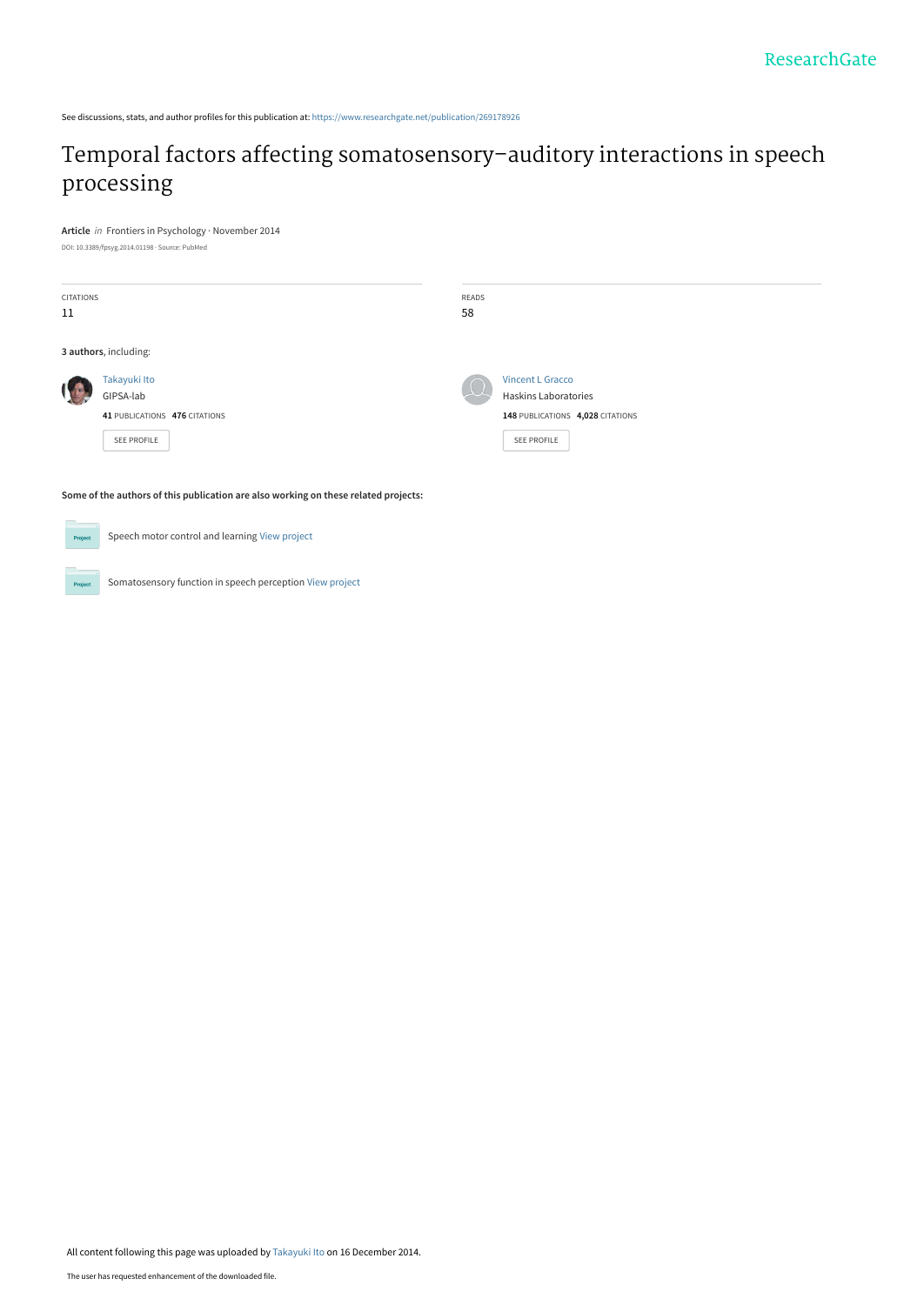See discussions, stats, and author profiles for this publication at: [https://www.researchgate.net/publication/269178926](https://www.researchgate.net/publication/269178926_Temporal_factors_affecting_somatosensory-auditory_interactions_in_speech_processing?enrichId=rgreq-2a534aab7507985bbc0bbf430e1435b9-XXX&enrichSource=Y292ZXJQYWdlOzI2OTE3ODkyNjtBUzoxNzUwNDQwMDk0MDY0NjRAMTQxODc0NTE1Mjk5Ng%3D%3D&el=1_x_2&_esc=publicationCoverPdf)

# [Temporal factors affecting somatosensory–auditory interactions in speech](https://www.researchgate.net/publication/269178926_Temporal_factors_affecting_somatosensory-auditory_interactions_in_speech_processing?enrichId=rgreq-2a534aab7507985bbc0bbf430e1435b9-XXX&enrichSource=Y292ZXJQYWdlOzI2OTE3ODkyNjtBUzoxNzUwNDQwMDk0MDY0NjRAMTQxODc0NTE1Mjk5Ng%3D%3D&el=1_x_3&_esc=publicationCoverPdf) processing

**Article** in Frontiers in Psychology · November 2014

DOI: 10.3389/fpsyg.2014.01198 · Source: PubMed

| <b>CITATIONS</b><br>11 |                                                                                  | READS<br>58 |                                                                                                    |
|------------------------|----------------------------------------------------------------------------------|-------------|----------------------------------------------------------------------------------------------------|
| 3 authors, including:  |                                                                                  |             |                                                                                                    |
|                        | Takayuki Ito<br>GIPSA-lab<br>41 PUBLICATIONS 476 CITATIONS<br><b>SEE PROFILE</b> |             | <b>Vincent L Gracco</b><br>Haskins Laboratories<br>148 PUBLICATIONS 4,028 CITATIONS<br>SEE PROFILE |

**Some of the authors of this publication are also working on these related projects:**

 $Pro$ 

Proj

Somatosensory function in speech perception [View project](https://www.researchgate.net/project/Somatosensory-function-in-speech-perception?enrichId=rgreq-2a534aab7507985bbc0bbf430e1435b9-XXX&enrichSource=Y292ZXJQYWdlOzI2OTE3ODkyNjtBUzoxNzUwNDQwMDk0MDY0NjRAMTQxODc0NTE1Mjk5Ng%3D%3D&el=1_x_9&_esc=publicationCoverPdf)

Speech motor control and learning [View project](https://www.researchgate.net/project/Speech-motor-control-and-learning?enrichId=rgreq-2a534aab7507985bbc0bbf430e1435b9-XXX&enrichSource=Y292ZXJQYWdlOzI2OTE3ODkyNjtBUzoxNzUwNDQwMDk0MDY0NjRAMTQxODc0NTE1Mjk5Ng%3D%3D&el=1_x_9&_esc=publicationCoverPdf)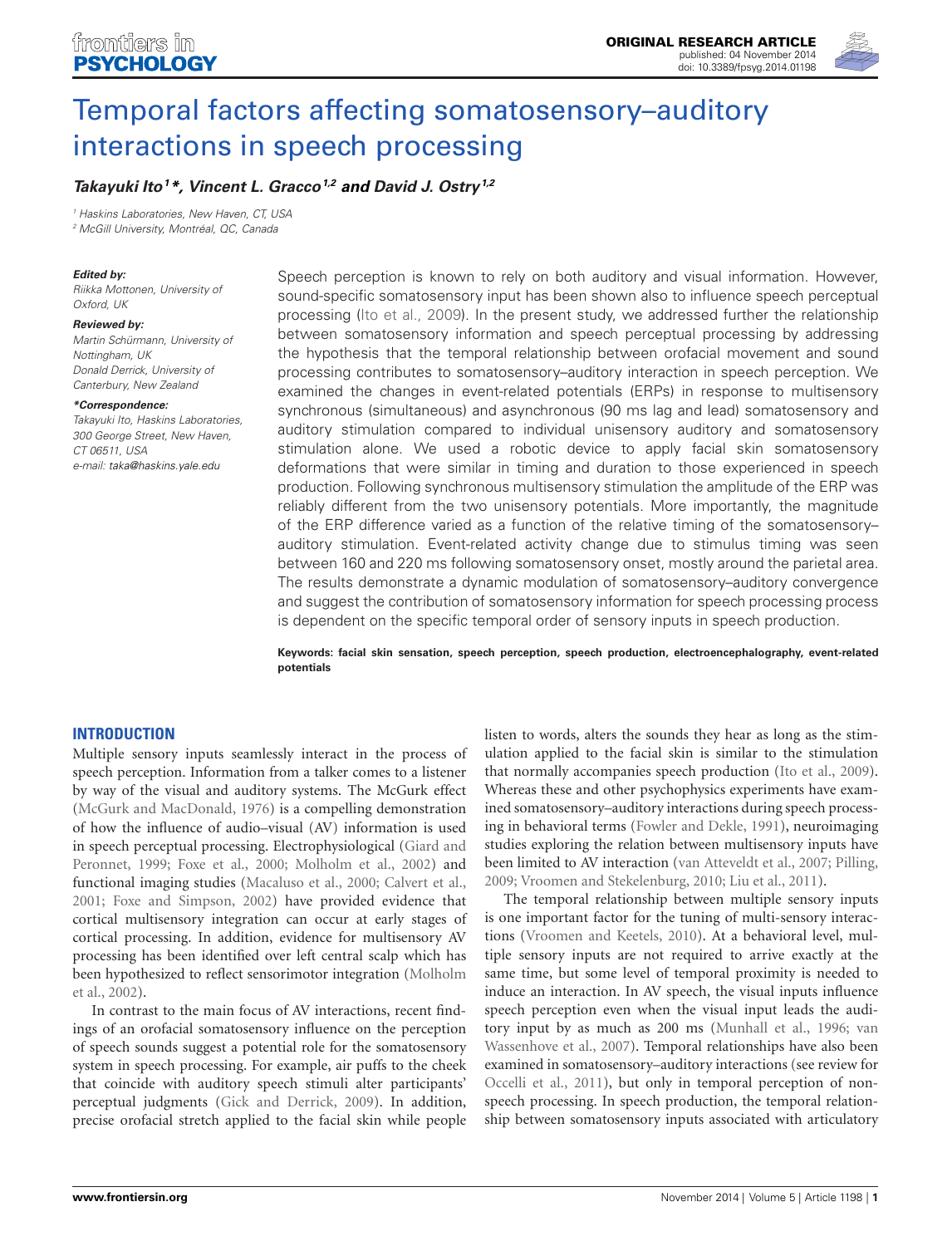

# [Temporal factors affecting somatosensory–auditory](http://www.frontiersin.org/Journal/10.3389/fpsyg.2014.01198/abstract) [interactions in speech processing](http://www.frontiersin.org/Journal/10.3389/fpsyg.2014.01198/abstract)

# **[Takayuki Ito](http://www.frontiersin.org/people/u/112797)<sup>1</sup>\*, [Vincent L. Gracco](http://www.frontiersin.org/people/u/75285)1,2 and [David J. Ostry](http://www.frontiersin.org/people/u/137164)1,2**

<sup>1</sup> Haskins Laboratories, New Haven, CT, USA

<sup>2</sup> McGill University, Montréal, QC, Canada

#### **Edited by:**

Riikka Mottonen, University of Oxford, UK

#### **Reviewed by:**

Martin Schürmann, University of Nottingham, UK Donald Derrick, University of Canterbury, New Zealand

#### **\*Correspondence:**

Takayuki Ito, Haskins Laboratories, 300 George Street, New Haven, CT 06511, USA e-mail: [taka@haskins.yale.edu](mailto:taka@haskins.yale.edu)

Speech perception is known to rely on both auditory and visual information. However, sound-specific somatosensory input has been shown also to influence speech perceptual processing [\(Ito et al., 2009\)](#page-9-0). In the present study, we addressed further the relationship between somatosensory information and speech perceptual processing by addressing the hypothesis that the temporal relationship between orofacial movement and sound processing contributes to somatosensory–auditory interaction in speech perception. We examined the changes in event-related potentials (ERPs) in response to multisensory synchronous (simultaneous) and asynchronous (90 ms lag and lead) somatosensory and auditory stimulation compared to individual unisensory auditory and somatosensory stimulation alone. We used a robotic device to apply facial skin somatosensory deformations that were similar in timing and duration to those experienced in speech production. Following synchronous multisensory stimulation the amplitude of the ERP was reliably different from the two unisensory potentials. More importantly, the magnitude of the ERP difference varied as a function of the relative timing of the somatosensory– auditory stimulation. Event-related activity change due to stimulus timing was seen between 160 and 220 ms following somatosensory onset, mostly around the parietal area. The results demonstrate a dynamic modulation of somatosensory–auditory convergence and suggest the contribution of somatosensory information for speech processing process is dependent on the specific temporal order of sensory inputs in speech production.

**Keywords: facial skin sensation, speech perception, speech production, electroencephalography, event-related potentials**

# **INTRODUCTION**

Multiple sensory inputs seamlessly interact in the process of speech perception. Information from a talker comes to a listener by way of the visual and auditory systems. The McGurk effect [\(McGurk and MacDonald, 1976\)](#page-10-0) is a compelling demonstration of how the influence of audio–visual (AV) information is used in speech perceptual processing. Electrophysiological [\(Giard and](#page-9-1) [Peronnet, 1999;](#page-9-1) [Foxe et al., 2000;](#page-9-2) [Molholm et al., 2002\)](#page-10-1) and functional imaging studies [\(Macaluso et al., 2000;](#page-10-2) [Calvert et al.,](#page-9-3) [2001;](#page-9-3) [Foxe and Simpson, 2002\)](#page-9-4) have provided evidence that cortical multisensory integration can occur at early stages of cortical processing. In addition, evidence for multisensory AV processing has been identified over left central scalp which has been hypothesized to reflect sensorimotor integration [\(Molholm](#page-10-1) [et al., 2002\)](#page-10-1).

In contrast to the main focus of AV interactions, recent findings of an orofacial somatosensory influence on the perception of speech sounds suggest a potential role for the somatosensory system in speech processing. For example, air puffs to the cheek that coincide with auditory speech stimuli alter participants' perceptual judgments [\(Gick and Derrick, 2009\)](#page-9-5). In addition, precise orofacial stretch applied to the facial skin while people listen to words, alters the sounds they hear as long as the stimulation applied to the facial skin is similar to the stimulation that normally accompanies speech production [\(Ito et al., 2009\)](#page-9-0). Whereas these and other psychophysics experiments have examined somatosensory–auditory interactions during speech processing in behavioral terms [\(Fowler and Dekle, 1991\)](#page-9-6), neuroimaging studies exploring the relation between multisensory inputs have been limited to AV interaction [\(van Atteveldt et al., 2007;](#page-10-3) [Pilling,](#page-10-4) [2009;](#page-10-4) [Vroomen and Stekelenburg, 2010;](#page-10-5) [Liu et al., 2011\)](#page-9-7).

The temporal relationship between multiple sensory inputs is one important factor for the tuning of multi-sensory interactions [\(Vroomen and Keetels, 2010\)](#page-10-6). At a behavioral level, multiple sensory inputs are not required to arrive exactly at the same time, but some level of temporal proximity is needed to induce an interaction. In AV speech, the visual inputs influence speech perception even when the visual input leads the auditory input by as much as 200 ms [\(Munhall et al., 1996;](#page-10-7) [van](#page-10-8) [Wassenhove et al., 2007\)](#page-10-8). Temporal relationships have also been examined in somatosensory–auditory interactions (see review for [Occelli et al., 2011\)](#page-10-9), but only in temporal perception of nonspeech processing. In speech production, the temporal relationship between somatosensory inputs associated with articulatory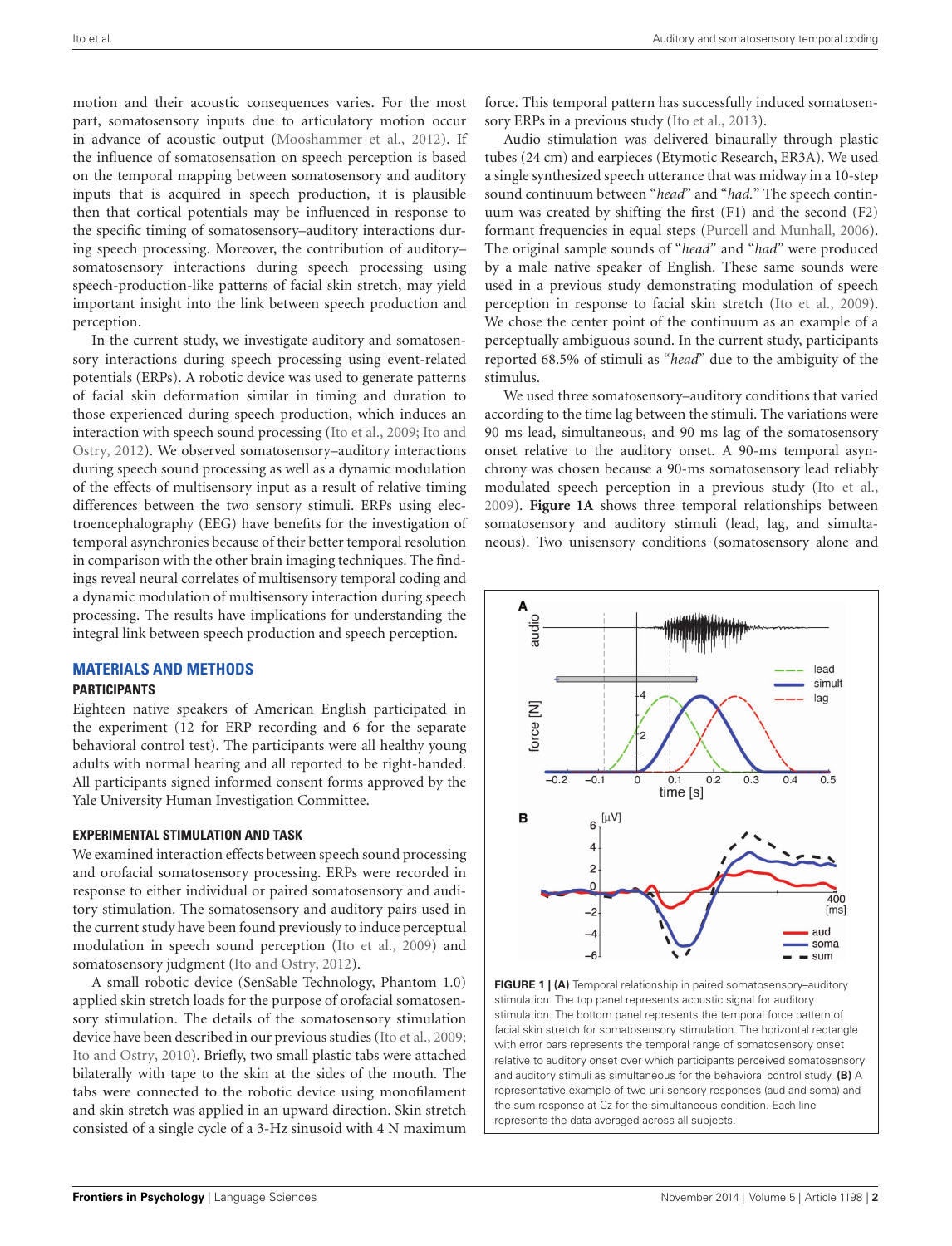motion and their acoustic consequences varies. For the most part, somatosensory inputs due to articulatory motion occur in advance of acoustic output [\(Mooshammer et al.,](#page-10-10) [2012\)](#page-10-10). If the influence of somatosensation on speech perception is based on the temporal mapping between somatosensory and auditory inputs that is acquired in speech production, it is plausible then that cortical potentials may be influenced in response to the specific timing of somatosensory–auditory interactions during speech processing. Moreover, the contribution of auditory– somatosensory interactions during speech processing using speech-production-like patterns of facial skin stretch, may yield important insight into the link between speech production and perception.

In the current study, we investigate auditory and somatosensory interactions during speech processing using event-related potentials (ERPs). A robotic device was used to generate patterns of facial skin deformation similar in timing and duration to those experienced during speech production, which induces an interaction with speech sound processing [\(Ito et al.,](#page-9-0) [2009;](#page-9-0) [Ito and](#page-9-8) [Ostry,](#page-9-8) [2012\)](#page-9-8). We observed somatosensory–auditory interactions during speech sound processing as well as a dynamic modulation of the effects of multisensory input as a result of relative timing differences between the two sensory stimuli. ERPs using electroencephalography (EEG) have benefits for the investigation of temporal asynchronies because of their better temporal resolution in comparison with the other brain imaging techniques. The findings reveal neural correlates of multisensory temporal coding and a dynamic modulation of multisensory interaction during speech processing. The results have implications for understanding the integral link between speech production and speech perception.

# **MATERIALS AND METHODS**

#### **PARTICIPANTS**

Eighteen native speakers of American English participated in the experiment (12 for ERP recording and 6 for the separate behavioral control test). The participants were all healthy young adults with normal hearing and all reported to be right-handed. All participants signed informed consent forms approved by the Yale University Human Investigation Committee.

# **EXPERIMENTAL STIMULATION AND TASK**

We examined interaction effects between speech sound processing and orofacial somatosensory processing. ERPs were recorded in response to either individual or paired somatosensory and auditory stimulation. The somatosensory and auditory pairs used in the current study have been found previously to induce perceptual modulation in speech sound perception [\(Ito et al.,](#page-9-0) [2009\)](#page-9-0) and somatosensory judgment [\(Ito and Ostry,](#page-9-8) [2012\)](#page-9-8).

A small robotic device (SenSable Technology, Phantom 1.0) applied skin stretch loads for the purpose of orofacial somatosensory stimulation. The details of the somatosensory stimulation device have been described in our previous studies [\(Ito et al.,](#page-9-0) [2009;](#page-9-0) [Ito and Ostry,](#page-9-9) [2010\)](#page-9-9). Briefly, two small plastic tabs were attached bilaterally with tape to the skin at the sides of the mouth. The tabs were connected to the robotic device using monofilament and skin stretch was applied in an upward direction. Skin stretch consisted of a single cycle of a 3-Hz sinusoid with 4 N maximum

force. This temporal pattern has successfully induced somatosensory ERPs in a previous study [\(Ito et al.,](#page-9-10) [2013\)](#page-9-10).

Audio stimulation was delivered binaurally through plastic tubes (24 cm) and earpieces (Etymotic Research, ER3A). We used a single synthesized speech utterance that was midway in a 10-step sound continuum between "*head*" and "*had.*" The speech continuum was created by shifting the first (F1) and the second (F2) formant frequencies in equal steps [\(Purcell and Munhall,](#page-10-11) [2006\)](#page-10-11). The original sample sounds of "*head*" and "*had*" were produced by a male native speaker of English. These same sounds were used in a previous study demonstrating modulation of speech perception in response to facial skin stretch [\(Ito et al.,](#page-9-0) [2009\)](#page-9-0). We chose the center point of the continuum as an example of a perceptually ambiguous sound. In the current study, participants reported 68.5% of stimuli as "*head*" due to the ambiguity of the stimulus.

We used three somatosensory–auditory conditions that varied according to the time lag between the stimuli. The variations were 90 ms lead, simultaneous, and 90 ms lag of the somatosensory onset relative to the auditory onset. A 90-ms temporal asynchrony was chosen because a 90-ms somatosensory lead reliably modulated speech perception in a previous study [\(Ito et al.,](#page-9-0) [2009\)](#page-9-0). **[Figure 1A](#page-2-0)** shows three temporal relationships between somatosensory and auditory stimuli (lead, lag, and simultaneous). Two unisensory conditions (somatosensory alone and



<span id="page-2-0"></span>**FIGURE 1 | (A)** Temporal relationship in paired somatosensory–auditory stimulation. The top panel represents acoustic signal for auditory stimulation. The bottom panel represents the temporal force pattern of facial skin stretch for somatosensory stimulation. The horizontal rectangle with error bars represents the temporal range of somatosensory onset relative to auditory onset over which participants perceived somatosensory and auditory stimuli as simultaneous for the behavioral control study. **(B)** A representative example of two uni-sensory responses (aud and soma) and the sum response at Cz for the simultaneous condition. Each line represents the data averaged across all subjects.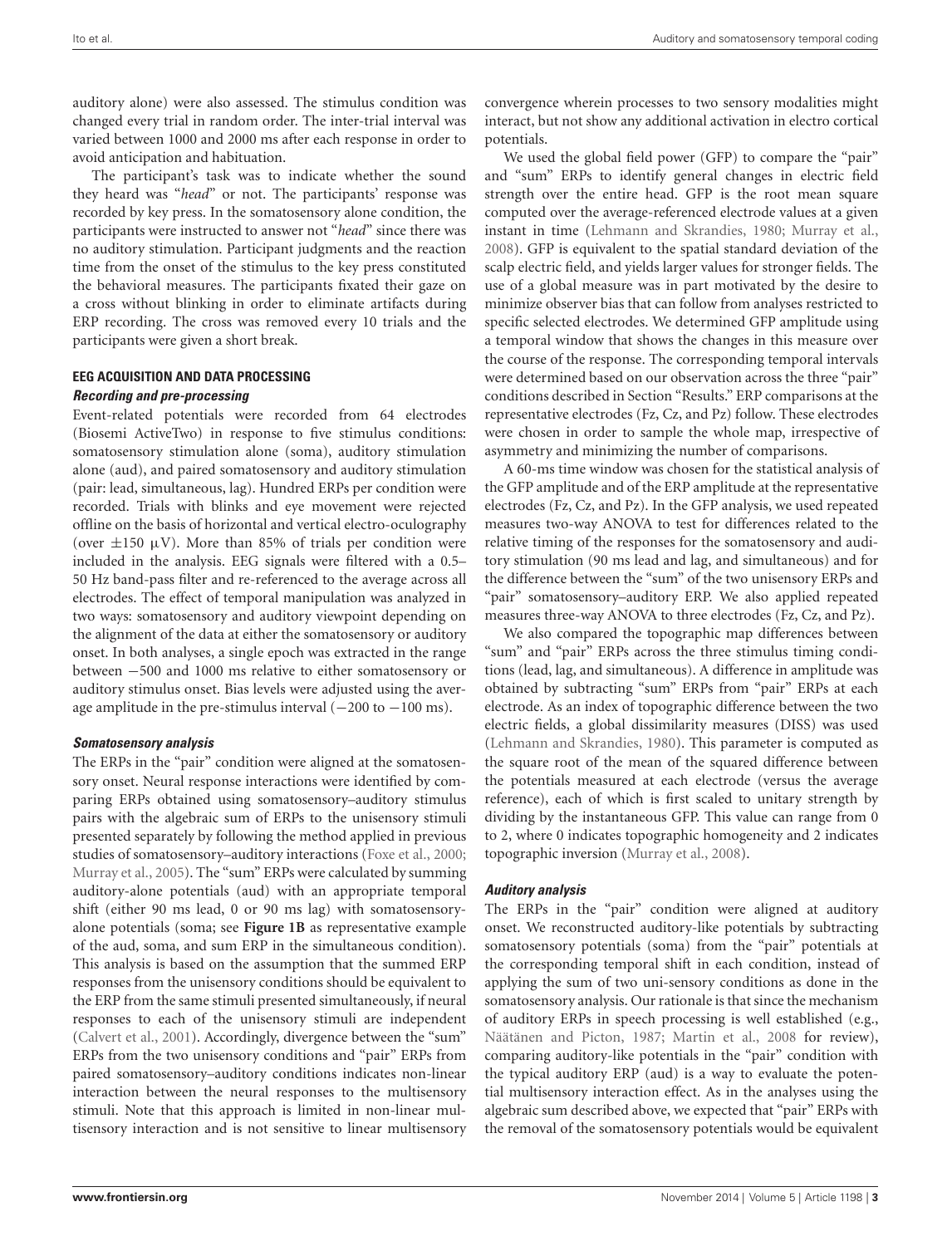auditory alone) were also assessed. The stimulus condition was changed every trial in random order. The inter-trial interval was varied between 1000 and 2000 ms after each response in order to avoid anticipation and habituation.

The participant's task was to indicate whether the sound they heard was "*head*" or not. The participants' response was recorded by key press. In the somatosensory alone condition, the participants were instructed to answer not "*head*" since there was no auditory stimulation. Participant judgments and the reaction time from the onset of the stimulus to the key press constituted the behavioral measures. The participants fixated their gaze on a cross without blinking in order to eliminate artifacts during ERP recording. The cross was removed every 10 trials and the participants were given a short break.

# **EEG ACQUISITION AND DATA PROCESSING**

#### **Recording and pre-processing**

Event-related potentials were recorded from 64 electrodes (Biosemi ActiveTwo) in response to five stimulus conditions: somatosensory stimulation alone (soma), auditory stimulation alone (aud), and paired somatosensory and auditory stimulation (pair: lead, simultaneous, lag). Hundred ERPs per condition were recorded. Trials with blinks and eye movement were rejected offline on the basis of horizontal and vertical electro-oculography (over  $\pm 150 \mu V$ ). More than 85% of trials per condition were included in the analysis. EEG signals were filtered with a 0.5– 50 Hz band-pass filter and re-referenced to the average across all electrodes. The effect of temporal manipulation was analyzed in two ways: somatosensory and auditory viewpoint depending on the alignment of the data at either the somatosensory or auditory onset. In both analyses, a single epoch was extracted in the range between −500 and 1000 ms relative to either somatosensory or auditory stimulus onset. Bias levels were adjusted using the average amplitude in the pre-stimulus interval  $(-200 \text{ to } -100 \text{ ms}).$ 

# **Somatosensory analysis**

The ERPs in the "pair" condition were aligned at the somatosensory onset. Neural response interactions were identified by comparing ERPs obtained using somatosensory–auditory stimulus pairs with the algebraic sum of ERPs to the unisensory stimuli presented separately by following the method applied in previous studies of somatosensory–auditory interactions [\(Foxe et al.,](#page-9-2) [2000;](#page-9-2) [Murray et al.,](#page-10-12) [2005\)](#page-10-12). The "sum" ERPs were calculated by summing auditory-alone potentials (aud) with an appropriate temporal shift (either 90 ms lead, 0 or 90 ms lag) with somatosensoryalone potentials (soma; see **[Figure 1B](#page-2-0)** as representative example of the aud, soma, and sum ERP in the simultaneous condition). This analysis is based on the assumption that the summed ERP responses from the unisensory conditions should be equivalent to the ERP from the same stimuli presented simultaneously, if neural responses to each of the unisensory stimuli are independent [\(Calvert et al.,](#page-9-3) [2001\)](#page-9-3). Accordingly, divergence between the "sum" ERPs from the two unisensory conditions and "pair" ERPs from paired somatosensory–auditory conditions indicates non-linear interaction between the neural responses to the multisensory stimuli. Note that this approach is limited in non-linear multisensory interaction and is not sensitive to linear multisensory

convergence wherein processes to two sensory modalities might interact, but not show any additional activation in electro cortical potentials.

We used the global field power (GFP) to compare the "pair" and "sum" ERPs to identify general changes in electric field strength over the entire head. GFP is the root mean square computed over the average-referenced electrode values at a given instant in time [\(Lehmann and Skrandies,](#page-9-11) [1980;](#page-9-11) [Murray et al.,](#page-10-13) [2008\)](#page-10-13). GFP is equivalent to the spatial standard deviation of the scalp electric field, and yields larger values for stronger fields. The use of a global measure was in part motivated by the desire to minimize observer bias that can follow from analyses restricted to specific selected electrodes. We determined GFP amplitude using a temporal window that shows the changes in this measure over the course of the response. The corresponding temporal intervals were determined based on our observation across the three "pair" conditions described in Section "Results." ERP comparisons at the representative electrodes (Fz, Cz, and Pz) follow. These electrodes were chosen in order to sample the whole map, irrespective of asymmetry and minimizing the number of comparisons.

A 60-ms time window was chosen for the statistical analysis of the GFP amplitude and of the ERP amplitude at the representative electrodes (Fz, Cz, and Pz). In the GFP analysis, we used repeated measures two-way ANOVA to test for differences related to the relative timing of the responses for the somatosensory and auditory stimulation (90 ms lead and lag, and simultaneous) and for the difference between the "sum" of the two unisensory ERPs and "pair" somatosensory–auditory ERP. We also applied repeated measures three-way ANOVA to three electrodes (Fz, Cz, and Pz).

We also compared the topographic map differences between "sum" and "pair" ERPs across the three stimulus timing conditions (lead, lag, and simultaneous). A difference in amplitude was obtained by subtracting "sum" ERPs from "pair" ERPs at each electrode. As an index of topographic difference between the two electric fields, a global dissimilarity measures (DISS) was used [\(Lehmann and Skrandies,](#page-9-11) [1980\)](#page-9-11). This parameter is computed as the square root of the mean of the squared difference between the potentials measured at each electrode (versus the average reference), each of which is first scaled to unitary strength by dividing by the instantaneous GFP. This value can range from 0 to 2, where 0 indicates topographic homogeneity and 2 indicates topographic inversion [\(Murray et al.,](#page-10-13) [2008\)](#page-10-13).

# **Auditory analysis**

The ERPs in the "pair" condition were aligned at auditory onset. We reconstructed auditory-like potentials by subtracting somatosensory potentials (soma) from the "pair" potentials at the corresponding temporal shift in each condition, instead of applying the sum of two uni-sensory conditions as done in the somatosensory analysis. Our rationale is that since the mechanism of auditory ERPs in speech processing is well established (e.g., [Näätänen and Picton,](#page-10-14) [1987;](#page-10-14) [Martin et al.,](#page-10-15) [2008](#page-10-15) for review), comparing auditory-like potentials in the "pair" condition with the typical auditory ERP (aud) is a way to evaluate the potential multisensory interaction effect. As in the analyses using the algebraic sum described above, we expected that "pair" ERPs with the removal of the somatosensory potentials would be equivalent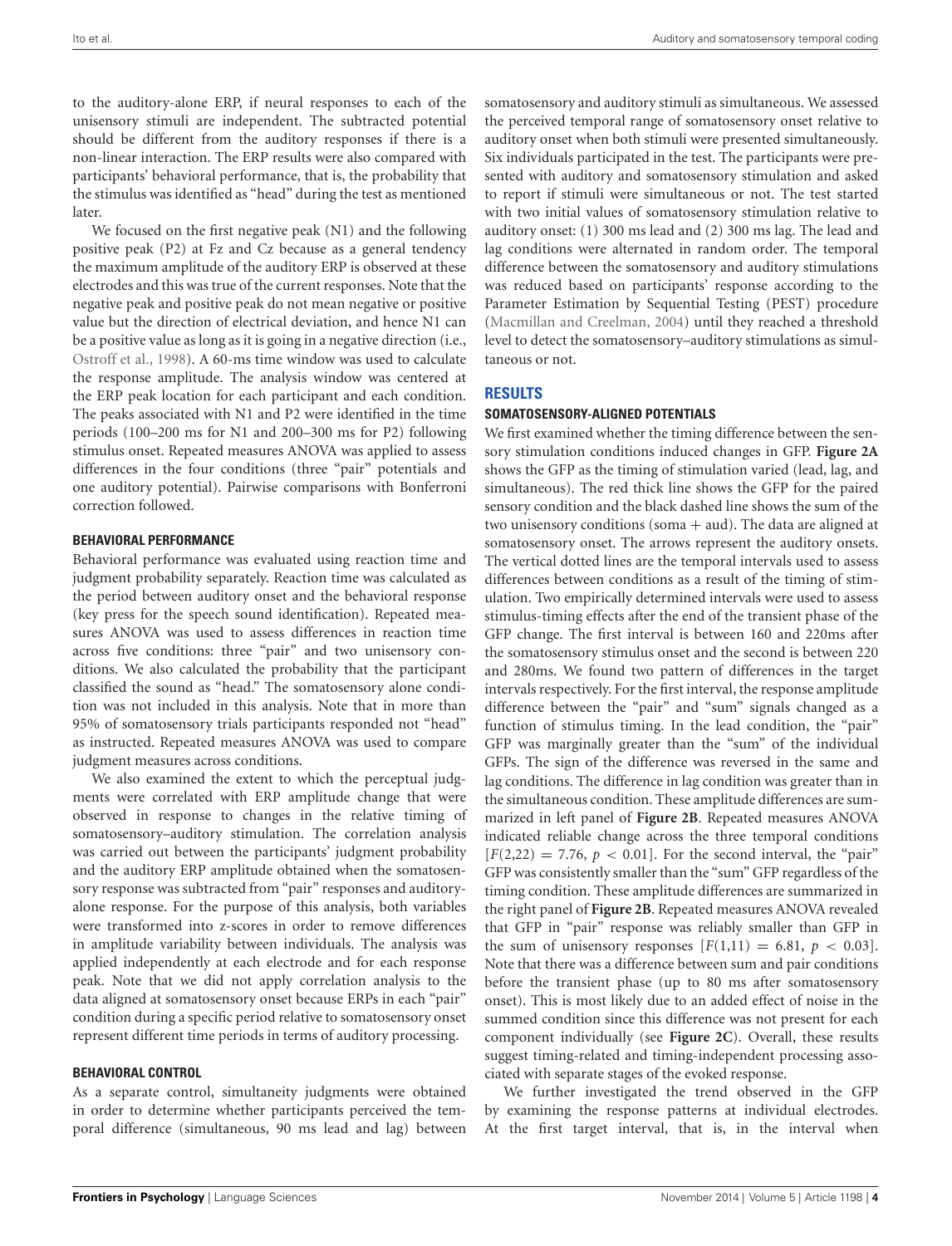to the auditory-alone ERP, if neural responses to each of the unisensory stimuli are independent. The subtracted potential should be different from the auditory responses if there is a non-linear interaction. The ERP results were also compared with participants' behavioral performance, that is, the probability that the stimulus was identified as "head" during the test as mentioned later.

We focused on the first negative peak (N1) and the following positive peak (P2) at Fz and Cz because as a general tendency the maximum amplitude of the auditory ERP is observed at these electrodes and this was true of the current responses. Note that the negative peak and positive peak do not mean negative or positive value but the direction of electrical deviation, and hence N1 can be a positive value as long as it is going in a negative direction (i.e., [Ostroff et al.,](#page-10-16) [1998\)](#page-10-16). A 60-ms time window was used to calculate the response amplitude. The analysis window was centered at the ERP peak location for each participant and each condition. The peaks associated with N1 and P2 were identified in the time periods (100–200 ms for N1 and 200–300 ms for P2) following stimulus onset. Repeated measures ANOVA was applied to assess differences in the four conditions (three "pair" potentials and one auditory potential). Pairwise comparisons with Bonferroni correction followed.

#### **BEHAVIORAL PERFORMANCE**

Behavioral performance was evaluated using reaction time and judgment probability separately. Reaction time was calculated as the period between auditory onset and the behavioral response (key press for the speech sound identification). Repeated measures ANOVA was used to assess differences in reaction time across five conditions: three "pair" and two unisensory conditions. We also calculated the probability that the participant classified the sound as "head." The somatosensory alone condition was not included in this analysis. Note that in more than 95% of somatosensory trials participants responded not "head" as instructed. Repeated measures ANOVA was used to compare judgment measures across conditions.

We also examined the extent to which the perceptual judgments were correlated with ERP amplitude change that were observed in response to changes in the relative timing of somatosensory–auditory stimulation. The correlation analysis was carried out between the participants' judgment probability and the auditory ERP amplitude obtained when the somatosensory response was subtracted from "pair" responses and auditoryalone response. For the purpose of this analysis, both variables were transformed into z-scores in order to remove differences in amplitude variability between individuals. The analysis was applied independently at each electrode and for each response peak. Note that we did not apply correlation analysis to the data aligned at somatosensory onset because ERPs in each "pair" condition during a specific period relative to somatosensory onset represent different time periods in terms of auditory processing.

#### **BEHAVIORAL CONTROL**

As a separate control, simultaneity judgments were obtained in order to determine whether participants perceived the temporal difference (simultaneous, 90 ms lead and lag) between

somatosensory and auditory stimuli as simultaneous. We assessed the perceived temporal range of somatosensory onset relative to auditory onset when both stimuli were presented simultaneously. Six individuals participated in the test. The participants were presented with auditory and somatosensory stimulation and asked to report if stimuli were simultaneous or not. The test started with two initial values of somatosensory stimulation relative to auditory onset: (1) 300 ms lead and (2) 300 ms lag. The lead and lag conditions were alternated in random order. The temporal difference between the somatosensory and auditory stimulations was reduced based on participants' response according to the Parameter Estimation by Sequential Testing (PEST) procedure [\(Macmillan and Creelman,](#page-10-17) [2004\)](#page-10-17) until they reached a threshold level to detect the somatosensory–auditory stimulations as simultaneous or not.

# **RESULTS**

#### **SOMATOSENSORY-ALIGNED POTENTIALS**

We first examined whether the timing difference between the sensory stimulation conditions induced changes in GFP. **[Figure 2A](#page-5-0)** shows the GFP as the timing of stimulation varied (lead, lag, and simultaneous). The red thick line shows the GFP for the paired sensory condition and the black dashed line shows the sum of the two unisensory conditions (soma  $+$  aud). The data are aligned at somatosensory onset. The arrows represent the auditory onsets. The vertical dotted lines are the temporal intervals used to assess differences between conditions as a result of the timing of stimulation. Two empirically determined intervals were used to assess stimulus-timing effects after the end of the transient phase of the GFP change. The first interval is between 160 and 220ms after the somatosensory stimulus onset and the second is between 220 and 280ms. We found two pattern of differences in the target intervals respectively. For the first interval, the response amplitude difference between the "pair" and "sum" signals changed as a function of stimulus timing. In the lead condition, the "pair" GFP was marginally greater than the "sum" of the individual GFPs. The sign of the difference was reversed in the same and lag conditions. The difference in lag condition was greater than in the simultaneous condition. These amplitude differences are summarized in left panel of **[Figure 2B](#page-5-0)**. Repeated measures ANOVA indicated reliable change across the three temporal conditions  $[F(2,22) = 7.76, p < 0.01]$ . For the second interval, the "pair" GFP was consistently smaller than the "sum" GFP regardless of the timing condition. These amplitude differences are summarized in the right panel of **[Figure 2B](#page-5-0)**. Repeated measures ANOVA revealed that GFP in "pair" response was reliably smaller than GFP in the sum of unisensory responses  $[F(1,11) = 6.81, p < 0.03]$ . Note that there was a difference between sum and pair conditions before the transient phase (up to 80 ms after somatosensory onset). This is most likely due to an added effect of noise in the summed condition since this difference was not present for each component individually (see **[Figure 2C](#page-5-0)**). Overall, these results suggest timing-related and timing-independent processing associated with separate stages of the evoked response.

We further investigated the trend observed in the GFP by examining the response patterns at individual electrodes. At the first target interval, that is, in the interval when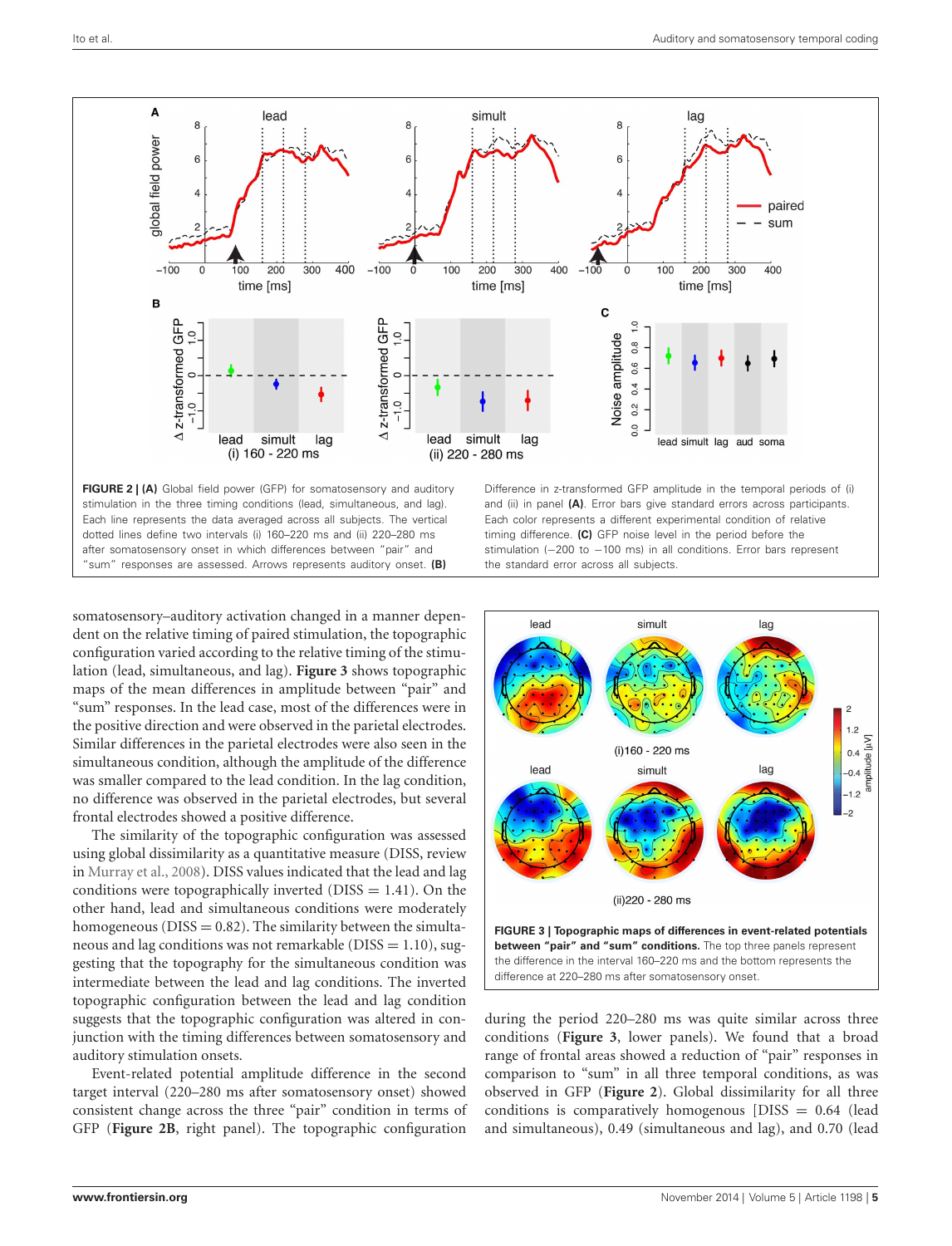

<span id="page-5-0"></span>somatosensory–auditory activation changed in a manner dependent on the relative timing of paired stimulation, the topographic configuration varied according to the relative timing of the stimulation (lead, simultaneous, and lag). **[Figure 3](#page-5-1)** shows topographic maps of the mean differences in amplitude between "pair" and "sum" responses. In the lead case, most of the differences were in the positive direction and were observed in the parietal electrodes. Similar differences in the parietal electrodes were also seen in the simultaneous condition, although the amplitude of the difference was smaller compared to the lead condition. In the lag condition, no difference was observed in the parietal electrodes, but several frontal electrodes showed a positive difference.

The similarity of the topographic configuration was assessed using global dissimilarity as a quantitative measure (DISS, review in [Murray et al.,](#page-10-13) [2008\)](#page-10-13). DISS values indicated that the lead and lag conditions were topographically inverted ( $DISS = 1.41$ ). On the other hand, lead and simultaneous conditions were moderately homogeneous ( $DISS = 0.82$ ). The similarity between the simultaneous and lag conditions was not remarkable ( $DISS = 1.10$ ), suggesting that the topography for the simultaneous condition was intermediate between the lead and lag conditions. The inverted topographic configuration between the lead and lag condition suggests that the topographic configuration was altered in conjunction with the timing differences between somatosensory and auditory stimulation onsets.

Event-related potential amplitude difference in the second target interval (220–280 ms after somatosensory onset) showed consistent change across the three "pair" condition in terms of GFP (**[Figure 2B](#page-5-0)**, right panel). The topographic configuration



<span id="page-5-1"></span>during the period 220–280 ms was quite similar across three conditions (**[Figure 3](#page-5-1)**, lower panels). We found that a broad range of frontal areas showed a reduction of "pair" responses in comparison to "sum" in all three temporal conditions, as was observed in GFP (**[Figure 2](#page-5-0)**). Global dissimilarity for all three conditions is comparatively homogenous  $[DISS = 0.64]$  (lead and simultaneous), 0.49 (simultaneous and lag), and 0.70 (lead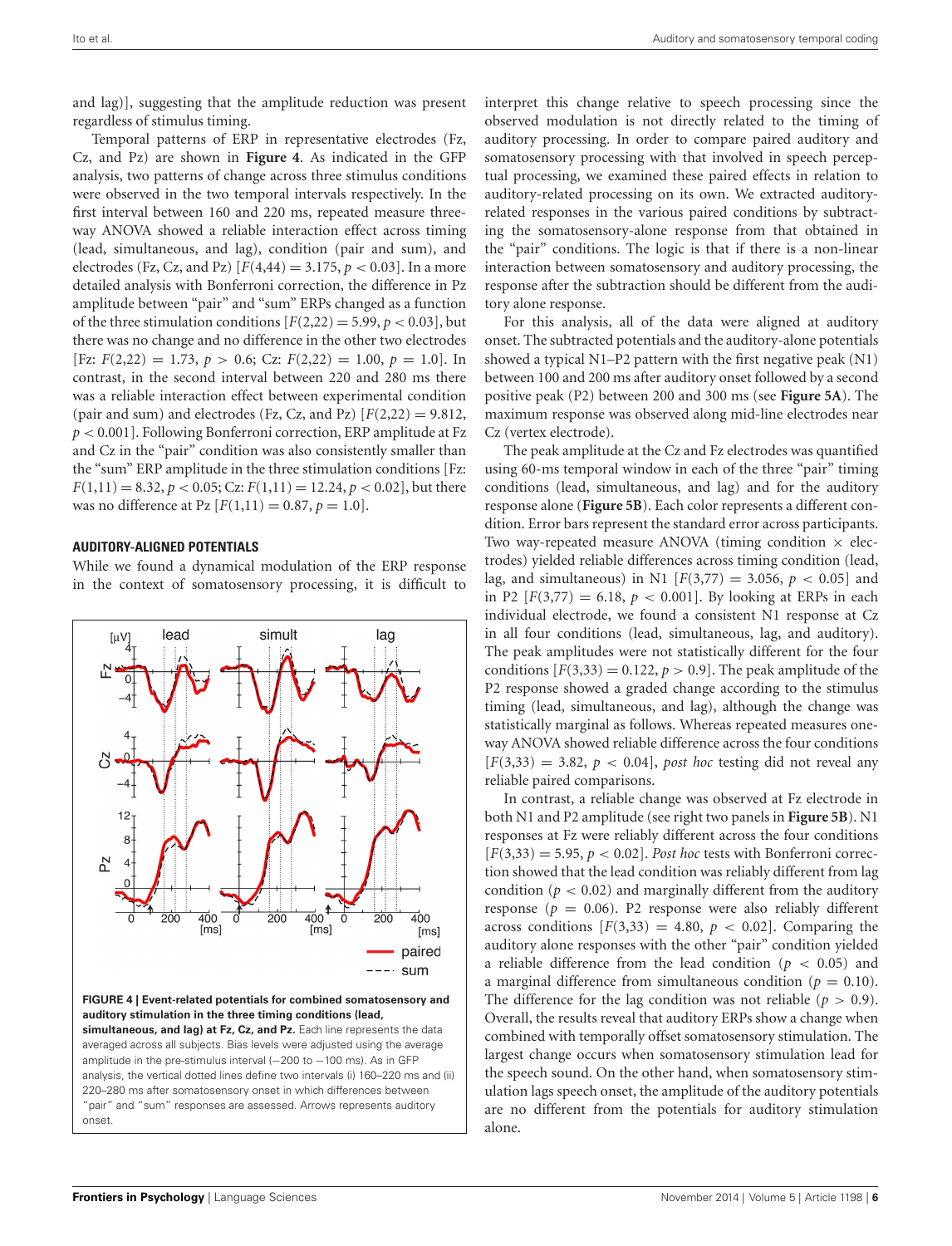and lag)], suggesting that the amplitude reduction was present regardless of stimulus timing.

Temporal patterns of ERP in representative electrodes (Fz, Cz, and Pz) are shown in **[Figure 4](#page-6-0)**. As indicated in the GFP analysis, two patterns of change across three stimulus conditions were observed in the two temporal intervals respectively. In the first interval between 160 and 220 ms, repeated measure threeway ANOVA showed a reliable interaction effect across timing (lead, simultaneous, and lag), condition (pair and sum), and electrodes (Fz, Cz, and Pz)  $[F(4,44) = 3.175, p < 0.03]$ . In a more detailed analysis with Bonferroni correction, the difference in Pz amplitude between "pair" and "sum" ERPs changed as a function of the three stimulation conditions  $[F(2,22) = 5.99, p < 0.03]$ , but there was no change and no difference in the other two electrodes  $[Fx: F(2,22) = 1.73, p > 0.6; Cz: F(2,22) = 1.00, p = 1.0].$  In contrast, in the second interval between 220 and 280 ms there was a reliable interaction effect between experimental condition (pair and sum) and electrodes (Fz, Cz, and Pz)  $[F(2,22) = 9.812,$ *p* < 0.001]. Following Bonferroni correction, ERP amplitude at Fz and Cz in the "pair" condition was also consistently smaller than the "sum" ERP amplitude in the three stimulation conditions [Fz:  $F(1,11) = 8.32, p < 0.05; Cz: F(1,11) = 12.24, p < 0.02$ , but there was no difference at Pz  $[F(1,11) = 0.87, p = 1.0].$ 

#### **AUDITORY-ALIGNED POTENTIALS**

While we found a dynamical modulation of the ERP response in the context of somatosensory processing, it is difficult to



interpret this change relative to speech processing since the observed modulation is not directly related to the timing of auditory processing. In order to compare paired auditory and somatosensory processing with that involved in speech perceptual processing, we examined these paired effects in relation to auditory-related processing on its own. We extracted auditoryrelated responses in the various paired conditions by subtracting the somatosensory-alone response from that obtained in the "pair" conditions. The logic is that if there is a non-linear interaction between somatosensory and auditory processing, the response after the subtraction should be different from the auditory alone response.

For this analysis, all of the data were aligned at auditory onset. The subtracted potentials and the auditory-alone potentials showed a typical N1–P2 pattern with the first negative peak (N1) between 100 and 200 ms after auditory onset followed by a second positive peak (P2) between 200 and 300 ms (see **[Figure 5A](#page-7-0)**). The maximum response was observed along mid-line electrodes near Cz (vertex electrode).

The peak amplitude at the Cz and Fz electrodes was quantified using 60-ms temporal window in each of the three "pair" timing conditions (lead, simultaneous, and lag) and for the auditory response alone (**[Figure 5B](#page-7-0)**). Each color represents a different condition. Error bars represent the standard error across participants. Two way-repeated measure ANOVA (timing condition  $\times$  electrodes) yielded reliable differences across timing condition (lead, lag, and simultaneous) in N1  $[F(3,77) = 3.056, p < 0.05]$  and in P2  $[F(3,77) = 6.18, p < 0.001]$ . By looking at ERPs in each individual electrode, we found a consistent N1 response at Cz in all four conditions (lead, simultaneous, lag, and auditory). The peak amplitudes were not statistically different for the four conditions  $[F(3,33) = 0.122, p > 0.9]$ . The peak amplitude of the P2 response showed a graded change according to the stimulus timing (lead, simultaneous, and lag), although the change was statistically marginal as follows. Whereas repeated measures oneway ANOVA showed reliable difference across the four conditions  $[F(3,33) = 3.82, p < 0.04]$ , *post hoc* testing did not reveal any reliable paired comparisons.

In contrast, a reliable change was observed at Fz electrode in both N1 and P2 amplitude (see right two panels in **[Figure 5B](#page-7-0)**). N1 responses at Fz were reliably different across the four conditions  $[F(3,33) = 5.95, p < 0.02]$ . *Post hoc* tests with Bonferroni correction showed that the lead condition was reliably different from lag condition ( $p < 0.02$ ) and marginally different from the auditory response ( $p = 0.06$ ). P2 response were also reliably different across conditions  $[F(3,33) = 4.80, p < 0.02]$ . Comparing the auditory alone responses with the other "pair" condition yielded a reliable difference from the lead condition (*p* < 0.05) and a marginal difference from simultaneous condition ( $p = 0.10$ ). The difference for the lag condition was not reliable  $(p > 0.9)$ . Overall, the results reveal that auditory ERPs show a change when combined with temporally offset somatosensory stimulation. The largest change occurs when somatosensory stimulation lead for the speech sound. On the other hand, when somatosensory stimulation lags speech onset, the amplitude of the auditory potentials are no different from the potentials for auditory stimulation alone.

<span id="page-6-0"></span>onset.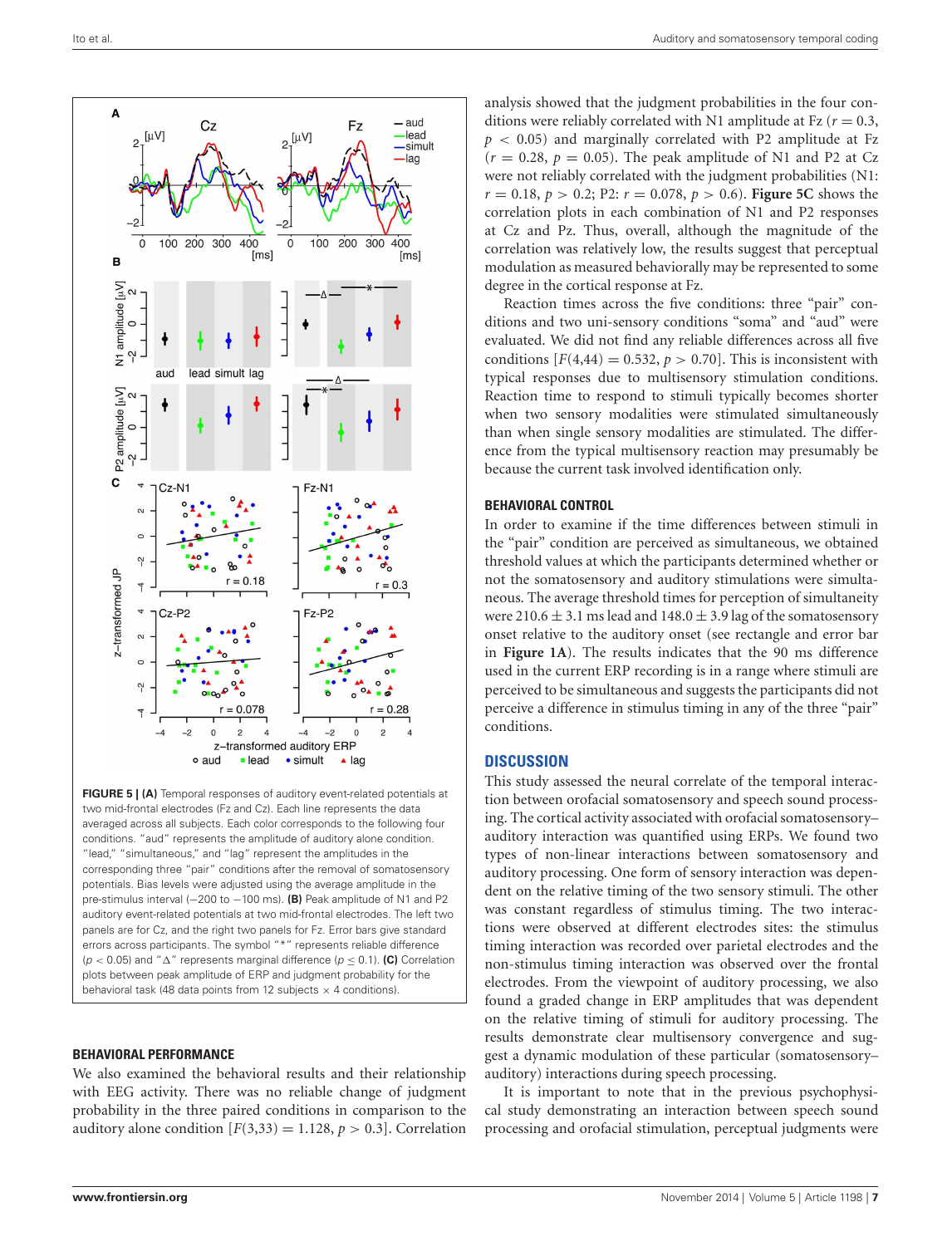

<span id="page-7-0"></span>**FIGURE 5 | (A)** Temporal responses of auditory event-related potentials at two mid-frontal electrodes (Fz and Cz). Each line represents the data averaged across all subjects. Each color corresponds to the following four conditions. "aud" represents the amplitude of auditory alone condition. "lead," "simultaneous," and "lag" represent the amplitudes in the corresponding three "pair" conditions after the removal of somatosensory potentials. Bias levels were adjusted using the average amplitude in the pre-stimulus interval (-200 to -100 ms). **(B)** Peak amplitude of N1 and P2 auditory event-related potentials at two mid-frontal electrodes. The left two panels are for Cz, and the right two panels for Fz. Error bars give standard errors across participants. The symbol "\*" represents reliable difference ( $p < 0.05$ ) and " $\Delta$ " represents marginal difference ( $p \le 0.1$ ). (C) Correlation plots between peak amplitude of ERP and judgment probability for the behavioral task (48 data points from 12 subjects  $\times$  4 conditions).

# **BEHAVIORAL PERFORMANCE**

We also examined the behavioral results and their relationship with EEG activity. There was no reliable change of judgment probability in the three paired conditions in comparison to the auditory alone condition  $[F(3,33) = 1.128, p > 0.3]$ . Correlation

analysis showed that the judgment probabilities in the four conditions were reliably correlated with N1 amplitude at Fz  $(r = 0.3,$  $p$  < 0.05) and marginally correlated with P2 amplitude at Fz  $(r = 0.28, p = 0.05)$ . The peak amplitude of N1 and P2 at Cz were not reliably correlated with the judgment probabilities (N1:  $r = 0.18$ ,  $p > 0.2$ ; P2:  $r = 0.078$ ,  $p > 0.6$ ). **[Figure 5C](#page-7-0)** shows the correlation plots in each combination of N1 and P2 responses at Cz and Pz. Thus, overall, although the magnitude of the correlation was relatively low, the results suggest that perceptual modulation as measured behaviorally may be represented to some degree in the cortical response at Fz.

Reaction times across the five conditions: three "pair" conditions and two uni-sensory conditions "soma" and "aud" were evaluated. We did not find any reliable differences across all five conditions  $[F(4,44) = 0.532, p > 0.70]$ . This is inconsistent with typical responses due to multisensory stimulation conditions. Reaction time to respond to stimuli typically becomes shorter when two sensory modalities were stimulated simultaneously than when single sensory modalities are stimulated. The difference from the typical multisensory reaction may presumably be because the current task involved identification only.

# **BEHAVIORAL CONTROL**

In order to examine if the time differences between stimuli in the "pair" condition are perceived as simultaneous, we obtained threshold values at which the participants determined whether or not the somatosensory and auditory stimulations were simultaneous. The average threshold times for perception of simultaneity were 210.6  $\pm$  3.1 ms lead and 148.0  $\pm$  3.9 lag of the somatosensory onset relative to the auditory onset (see rectangle and error bar in **[Figure 1A](#page-2-0)**). The results indicates that the 90 ms difference used in the current ERP recording is in a range where stimuli are perceived to be simultaneous and suggests the participants did not perceive a difference in stimulus timing in any of the three "pair" conditions.

# **DISCUSSION**

This study assessed the neural correlate of the temporal interaction between orofacial somatosensory and speech sound processing. The cortical activity associated with orofacial somatosensory– auditory interaction was quantified using ERPs. We found two types of non-linear interactions between somatosensory and auditory processing. One form of sensory interaction was dependent on the relative timing of the two sensory stimuli. The other was constant regardless of stimulus timing. The two interactions were observed at different electrodes sites: the stimulus timing interaction was recorded over parietal electrodes and the non-stimulus timing interaction was observed over the frontal electrodes. From the viewpoint of auditory processing, we also found a graded change in ERP amplitudes that was dependent on the relative timing of stimuli for auditory processing. The results demonstrate clear multisensory convergence and suggest a dynamic modulation of these particular (somatosensory– auditory) interactions during speech processing.

It is important to note that in the previous psychophysical study demonstrating an interaction between speech sound processing and orofacial stimulation, perceptual judgments were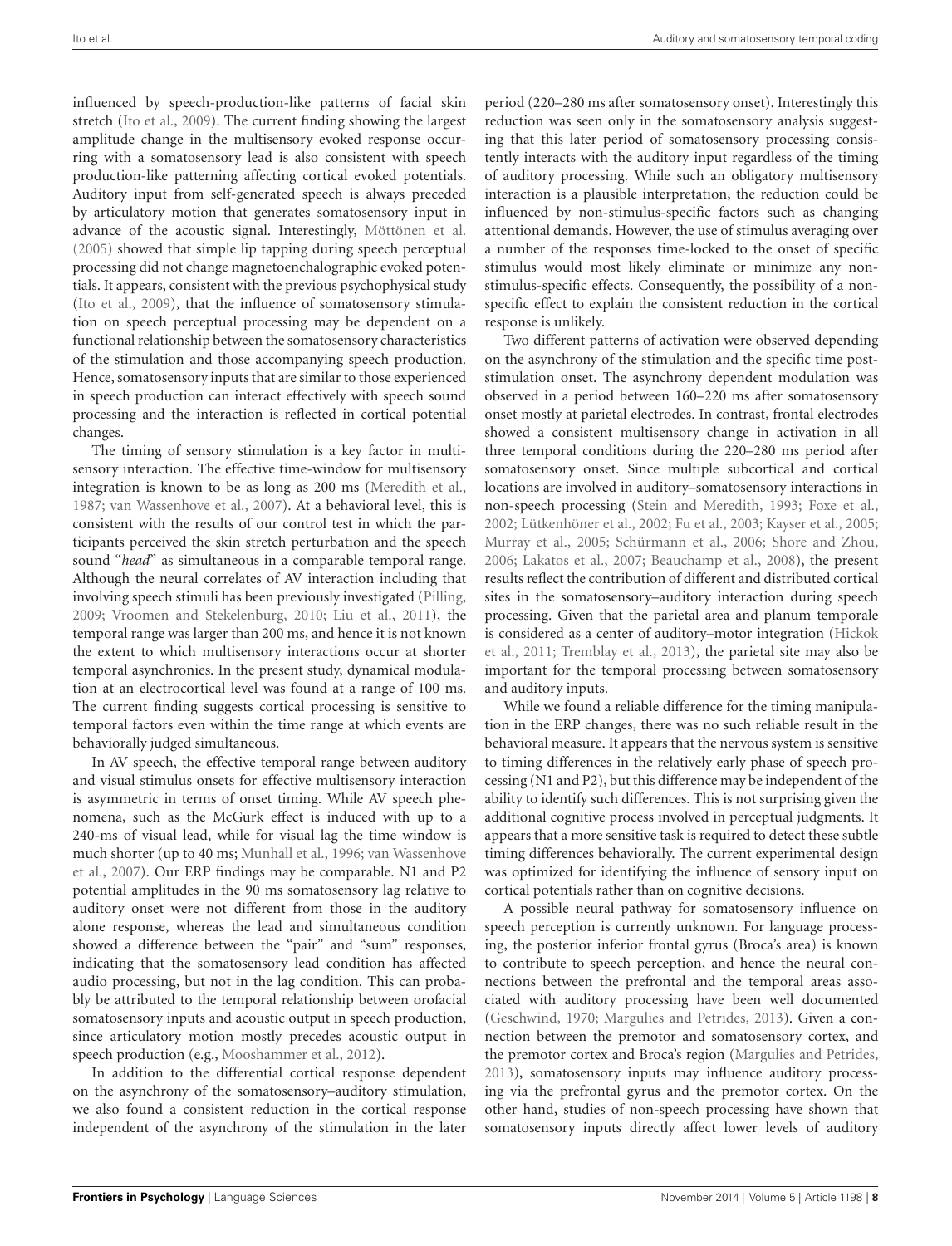influenced by speech-production-like patterns of facial skin stretch [\(Ito et al.,](#page-9-0) [2009\)](#page-9-0). The current finding showing the largest amplitude change in the multisensory evoked response occurring with a somatosensory lead is also consistent with speech production-like patterning affecting cortical evoked potentials. Auditory input from self-generated speech is always preceded by articulatory motion that generates somatosensory input in advance of the acoustic signal. Interestingly, [Möttönen et al.](#page-10-18) [\(2005\)](#page-10-18) showed that simple lip tapping during speech perceptual processing did not change magnetoenchalographic evoked potentials. It appears, consistent with the previous psychophysical study [\(Ito et al.,](#page-9-0) [2009\)](#page-9-0), that the influence of somatosensory stimulation on speech perceptual processing may be dependent on a functional relationship between the somatosensory characteristics of the stimulation and those accompanying speech production. Hence, somatosensory inputs that are similar to those experienced in speech production can interact effectively with speech sound processing and the interaction is reflected in cortical potential changes.

The timing of sensory stimulation is a key factor in multisensory interaction. The effective time-window for multisensory integration is known to be as long as 200 ms [\(Meredith et al.,](#page-10-19) [1987;](#page-10-19) [van Wassenhove et al.,](#page-10-8) [2007\)](#page-10-8). At a behavioral level, this is consistent with the results of our control test in which the participants perceived the skin stretch perturbation and the speech sound "*head*" as simultaneous in a comparable temporal range. Although the neural correlates of AV interaction including that involving speech stimuli has been previously investigated [\(Pilling,](#page-10-4) [2009;](#page-10-4) [Vroomen and Stekelenburg,](#page-10-5) [2010;](#page-10-5) [Liu et al.,](#page-9-7) [2011\)](#page-9-7), the temporal range was larger than 200 ms, and hence it is not known the extent to which multisensory interactions occur at shorter temporal asynchronies. In the present study, dynamical modulation at an electrocortical level was found at a range of 100 ms. The current finding suggests cortical processing is sensitive to temporal factors even within the time range at which events are behaviorally judged simultaneous.

In AV speech, the effective temporal range between auditory and visual stimulus onsets for effective multisensory interaction is asymmetric in terms of onset timing. While AV speech phenomena, such as the McGurk effect is induced with up to a 240-ms of visual lead, while for visual lag the time window is much shorter (up to 40 ms; [Munhall et al.,](#page-10-7) [1996;](#page-10-7) [van Wassenhove](#page-10-8) [et al.,](#page-10-8) [2007\)](#page-10-8). Our ERP findings may be comparable. N1 and P2 potential amplitudes in the 90 ms somatosensory lag relative to auditory onset were not different from those in the auditory alone response, whereas the lead and simultaneous condition showed a difference between the "pair" and "sum" responses, indicating that the somatosensory lead condition has affected audio processing, but not in the lag condition. This can probably be attributed to the temporal relationship between orofacial somatosensory inputs and acoustic output in speech production, since articulatory motion mostly precedes acoustic output in speech production (e.g., [Mooshammer et al.,](#page-10-10) [2012\)](#page-10-10).

In addition to the differential cortical response dependent on the asynchrony of the somatosensory–auditory stimulation, we also found a consistent reduction in the cortical response independent of the asynchrony of the stimulation in the later

period (220–280 ms after somatosensory onset). Interestingly this reduction was seen only in the somatosensory analysis suggesting that this later period of somatosensory processing consistently interacts with the auditory input regardless of the timing of auditory processing. While such an obligatory multisensory interaction is a plausible interpretation, the reduction could be influenced by non-stimulus-specific factors such as changing attentional demands. However, the use of stimulus averaging over a number of the responses time-locked to the onset of specific stimulus would most likely eliminate or minimize any nonstimulus-specific effects. Consequently, the possibility of a nonspecific effect to explain the consistent reduction in the cortical response is unlikely.

Two different patterns of activation were observed depending on the asynchrony of the stimulation and the specific time poststimulation onset. The asynchrony dependent modulation was observed in a period between 160–220 ms after somatosensory onset mostly at parietal electrodes. In contrast, frontal electrodes showed a consistent multisensory change in activation in all three temporal conditions during the 220–280 ms period after somatosensory onset. Since multiple subcortical and cortical locations are involved in auditory–somatosensory interactions in non-speech processing [\(Stein and Meredith,](#page-10-20) [1993;](#page-10-20) [Foxe et al.,](#page-9-12) [2002;](#page-9-12) [Lütkenhöner et al.,](#page-9-13) [2002;](#page-9-13) [Fu et al.,](#page-9-14) [2003;](#page-9-14) [Kayser et al.,](#page-9-15) [2005;](#page-9-15) [Murray et al.,](#page-10-12) [2005;](#page-10-12) [Schürmann et al.,](#page-10-21) [2006;](#page-10-21) [Shore and Zhou,](#page-10-22) [2006;](#page-10-22) [Lakatos et al.,](#page-9-16) [2007;](#page-9-16) [Beauchamp et al.,](#page-9-17) [2008\)](#page-9-17), the present results reflect the contribution of different and distributed cortical sites in the somatosensory–auditory interaction during speech processing. Given that the parietal area and planum temporale is considered as a center of auditory–motor integration [\(Hickok](#page-9-18) [et al.,](#page-9-18) [2011;](#page-9-18) [Tremblay et al.,](#page-10-23) [2013\)](#page-10-23), the parietal site may also be important for the temporal processing between somatosensory and auditory inputs.

While we found a reliable difference for the timing manipulation in the ERP changes, there was no such reliable result in the behavioral measure. It appears that the nervous system is sensitive to timing differences in the relatively early phase of speech processing (N1 and P2), but this difference may be independent of the ability to identify such differences. This is not surprising given the additional cognitive process involved in perceptual judgments. It appears that a more sensitive task is required to detect these subtle timing differences behaviorally. The current experimental design was optimized for identifying the influence of sensory input on cortical potentials rather than on cognitive decisions.

A possible neural pathway for somatosensory influence on speech perception is currently unknown. For language processing, the posterior inferior frontal gyrus (Broca's area) is known to contribute to speech perception, and hence the neural connections between the prefrontal and the temporal areas associated with auditory processing have been well documented [\(Geschwind,](#page-9-19) [1970;](#page-9-19) [Margulies and Petrides,](#page-10-24) [2013\)](#page-10-24). Given a connection between the premotor and somatosensory cortex, and the premotor cortex and Broca's region [\(Margulies and Petrides,](#page-10-24) [2013\)](#page-10-24), somatosensory inputs may influence auditory processing via the prefrontal gyrus and the premotor cortex. On the other hand, studies of non-speech processing have shown that somatosensory inputs directly affect lower levels of auditory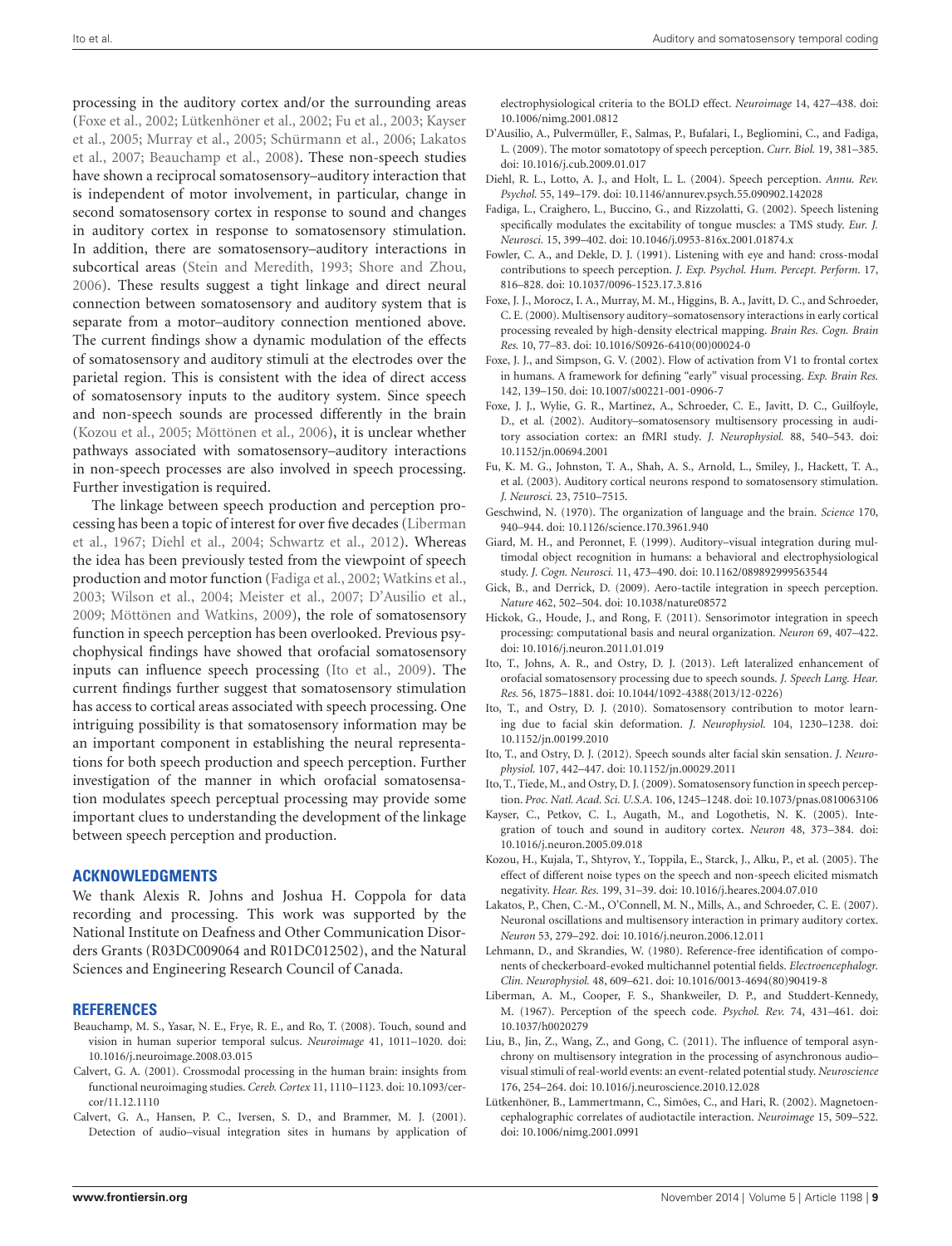processing in the auditory cortex and/or the surrounding areas [\(Foxe et al.,](#page-9-12) [2002;](#page-9-12) [Lütkenhöner et al.,](#page-9-13) [2002;](#page-9-13) [Fu et al.,](#page-9-14) [2003;](#page-9-14) [Kayser](#page-9-15) [et al.,](#page-9-15) [2005;](#page-9-15) [Murray et al.,](#page-10-12) [2005;](#page-10-12) [Schürmann et al.,](#page-10-21) [2006;](#page-10-21) [Lakatos](#page-9-16) [et al.,](#page-9-16) [2007;](#page-9-16) [Beauchamp et al.,](#page-9-17) [2008\)](#page-9-17). These non-speech studies have shown a reciprocal somatosensory–auditory interaction that is independent of motor involvement, in particular, change in second somatosensory cortex in response to sound and changes in auditory cortex in response to somatosensory stimulation. In addition, there are somatosensory–auditory interactions in subcortical areas [\(Stein and Meredith,](#page-10-20) [1993;](#page-10-20) [Shore and Zhou,](#page-10-22) [2006\)](#page-10-22). These results suggest a tight linkage and direct neural connection between somatosensory and auditory system that is separate from a motor–auditory connection mentioned above. The current findings show a dynamic modulation of the effects of somatosensory and auditory stimuli at the electrodes over the parietal region. This is consistent with the idea of direct access of somatosensory inputs to the auditory system. Since speech and non-speech sounds are processed differently in the brain [\(Kozou et al.,](#page-9-20) [2005;](#page-9-20) [Möttönen et al.,](#page-10-25) [2006\)](#page-10-25), it is unclear whether pathways associated with somatosensory–auditory interactions in non-speech processes are also involved in speech processing. Further investigation is required.

The linkage between speech production and perception processing has been a topic of interest for over five decades [\(Liberman](#page-9-21) [et al.,](#page-9-21) [1967;](#page-9-21) [Diehl et al.,](#page-9-22) [2004;](#page-9-22) [Schwartz et al.,](#page-10-26) [2012\)](#page-10-26). Whereas the idea has been previously tested from the viewpoint of speech production and motor function [\(Fadiga et al.,](#page-9-23) [2002;](#page-9-23) [Watkins et al.,](#page-10-27) [2003;](#page-10-27) [Wilson et al.,](#page-10-28) [2004;](#page-10-28) [Meister et al.,](#page-10-29) [2007;](#page-10-29) [D'Ausilio et al.,](#page-9-24) [2009;](#page-9-24) [Möttönen and Watkins,](#page-10-30) [2009\)](#page-10-30), the role of somatosensory function in speech perception has been overlooked. Previous psychophysical findings have showed that orofacial somatosensory inputs can influence speech processing [\(Ito et al.,](#page-9-0) [2009\)](#page-9-0). The current findings further suggest that somatosensory stimulation has access to cortical areas associated with speech processing. One intriguing possibility is that somatosensory information may be an important component in establishing the neural representations for both speech production and speech perception. Further investigation of the manner in which orofacial somatosensation modulates speech perceptual processing may provide some important clues to understanding the development of the linkage between speech perception and production.

#### **ACKNOWLEDGMENTS**

We thank Alexis R. Johns and Joshua H. Coppola for data recording and processing. This work was supported by the National Institute on Deafness and Other Communication Disorders Grants (R03DC009064 and R01DC012502), and the Natural Sciences and Engineering Research Council of Canada.

#### **REFERENCES**

- <span id="page-9-17"></span>Beauchamp, M. S., Yasar, N. E., Frye, R. E., and Ro, T. (2008). Touch, sound and vision in human superior temporal sulcus. *Neuroimage* 41, 1011–1020. doi: 10.1016/j.neuroimage.2008.03.015
- <span id="page-9-3"></span>Calvert, G. A. (2001). Crossmodal processing in the human brain: insights from functional neuroimaging studies. *Cereb. Cortex* 11, 1110–1123. doi: 10.1093/cercor/11.12.1110
- Calvert, G. A., Hansen, P. C., Iversen, S. D., and Brammer, M. J. (2001). Detection of audio–visual integration sites in humans by application of

electrophysiological criteria to the BOLD effect. *Neuroimage* 14, 427–438. doi: 10.1006/nimg.2001.0812

- <span id="page-9-24"></span>D'Ausilio, A., Pulvermüller, F., Salmas, P., Bufalari, I., Begliomini, C., and Fadiga, L. (2009). The motor somatotopy of speech perception. *Curr. Biol.* 19, 381–385. doi: 10.1016/j.cub.2009.01.017
- <span id="page-9-22"></span>Diehl, R. L., Lotto, A. J., and Holt, L. L. (2004). Speech perception. *Annu. Rev. Psychol.* 55, 149–179. doi: 10.1146/annurev.psych.55.090902.142028
- <span id="page-9-23"></span>Fadiga, L., Craighero, L., Buccino, G., and Rizzolatti, G. (2002). Speech listening specifically modulates the excitability of tongue muscles: a TMS study. *Eur. J. Neurosci.* 15, 399–402. doi: 10.1046/j.0953-816x.2001.01874.x
- <span id="page-9-6"></span>Fowler, C. A., and Dekle, D. J. (1991). Listening with eye and hand: cross-modal contributions to speech perception. *J. Exp. Psychol. Hum. Percept. Perform*. 17, 816–828. doi: 10.1037/0096-1523.17.3.816
- <span id="page-9-2"></span>Foxe, J. J., Morocz, I. A., Murray, M. M., Higgins, B. A., Javitt, D. C., and Schroeder, C. E. (2000). Multisensory auditory–somatosensory interactions in early cortical processing revealed by high-density electrical mapping. *Brain Res. Cogn. Brain Res.* 10, 77–83. doi: 10.1016/S0926-6410(00)00024-0
- <span id="page-9-4"></span>Foxe, J. J., and Simpson, G. V. (2002). Flow of activation from V1 to frontal cortex in humans. A framework for defining "early" visual processing. *Exp. Brain Res.* 142, 139–150. doi: 10.1007/s00221-001-0906-7
- <span id="page-9-12"></span>Foxe, J. J., Wylie, G. R., Martinez, A., Schroeder, C. E., Javitt, D. C., Guilfoyle, D., et al. (2002). Auditory–somatosensory multisensory processing in auditory association cortex: an fMRI study. *J. Neurophysiol.* 88, 540–543. doi: 10.1152/jn.00694.2001
- <span id="page-9-14"></span>Fu, K. M. G., Johnston, T. A., Shah, A. S., Arnold, L., Smiley, J., Hackett, T. A., et al. (2003). Auditory cortical neurons respond to somatosensory stimulation. *J. Neurosci.* 23, 7510–7515.
- <span id="page-9-19"></span>Geschwind, N. (1970). The organization of language and the brain. *Science* 170, 940–944. doi: 10.1126/science.170.3961.940
- <span id="page-9-1"></span>Giard, M. H., and Peronnet, F. (1999). Auditory–visual integration during multimodal object recognition in humans: a behavioral and electrophysiological study. *J. Cogn. Neurosci.* 11, 473–490. doi: 10.1162/089892999563544
- <span id="page-9-5"></span>Gick, B., and Derrick, D. (2009). Aero-tactile integration in speech perception. *Nature* 462, 502–504. doi: 10.1038/nature08572
- <span id="page-9-18"></span>Hickok, G., Houde, J., and Rong, F. (2011). Sensorimotor integration in speech processing: computational basis and neural organization. *Neuron* 69, 407–422. doi: 10.1016/j.neuron.2011.01.019
- <span id="page-9-10"></span>Ito, T., Johns, A. R., and Ostry, D. J. (2013). Left lateralized enhancement of orofacial somatosensory processing due to speech sounds. *J. Speech Lang. Hear. Res.* 56, 1875–1881. doi: 10.1044/1092-4388(2013/12-0226)
- <span id="page-9-9"></span>Ito, T., and Ostry, D. J. (2010). Somatosensory contribution to motor learning due to facial skin deformation. *J. Neurophysiol.* 104, 1230–1238. doi: 10.1152/jn.00199.2010
- <span id="page-9-8"></span>Ito, T., and Ostry, D. J. (2012). Speech sounds alter facial skin sensation. *J. Neurophysiol.* 107, 442–447. doi: 10.1152/jn.00029.2011
- <span id="page-9-0"></span>Ito, T., Tiede, M., and Ostry, D. J. (2009). Somatosensory function in speech perception. *Proc. Natl. Acad. Sci. U.S.A.* 106, 1245–1248. doi: 10.1073/pnas.0810063106
- <span id="page-9-15"></span>Kayser, C., Petkov, C. I., Augath, M., and Logothetis, N. K. (2005). Integration of touch and sound in auditory cortex. *Neuron* 48, 373–384. doi: 10.1016/j.neuron.2005.09.018
- <span id="page-9-20"></span>Kozou, H., Kujala, T., Shtyrov, Y., Toppila, E., Starck, J., Alku, P., et al. (2005). The effect of different noise types on the speech and non-speech elicited mismatch negativity. *Hear. Res.* 199, 31–39. doi: 10.1016/j.heares.2004.07.010
- <span id="page-9-16"></span>Lakatos, P., Chen, C.-M., O'Connell, M. N., Mills, A., and Schroeder, C. E. (2007). Neuronal oscillations and multisensory interaction in primary auditory cortex. *Neuron* 53, 279–292. doi: 10.1016/j.neuron.2006.12.011
- <span id="page-9-11"></span>Lehmann, D., and Skrandies, W. (1980). Reference-free identification of components of checkerboard-evoked multichannel potential fields. *Electroencephalogr. Clin. Neurophysiol.* 48, 609–621. doi: 10.1016/0013-4694(80)90419-8
- <span id="page-9-21"></span>Liberman, A. M., Cooper, F. S., Shankweiler, D. P., and Studdert-Kennedy, M. (1967). Perception of the speech code. *Psychol. Rev.* 74, 431–461. doi: 10.1037/h0020279
- <span id="page-9-7"></span>Liu, B., Jin, Z., Wang, Z., and Gong, C. (2011). The influence of temporal asynchrony on multisensory integration in the processing of asynchronous audio– visual stimuli of real-world events: an event-related potential study. *Neuroscience* 176, 254–264. doi: 10.1016/j.neuroscience.2010.12.028
- <span id="page-9-13"></span>Lütkenhöner, B., Lammertmann, C., Simões, C., and Hari, R. (2002). Magnetoencephalographic correlates of audiotactile interaction. *Neuroimage* 15, 509–522. doi: 10.1006/nimg.2001.0991